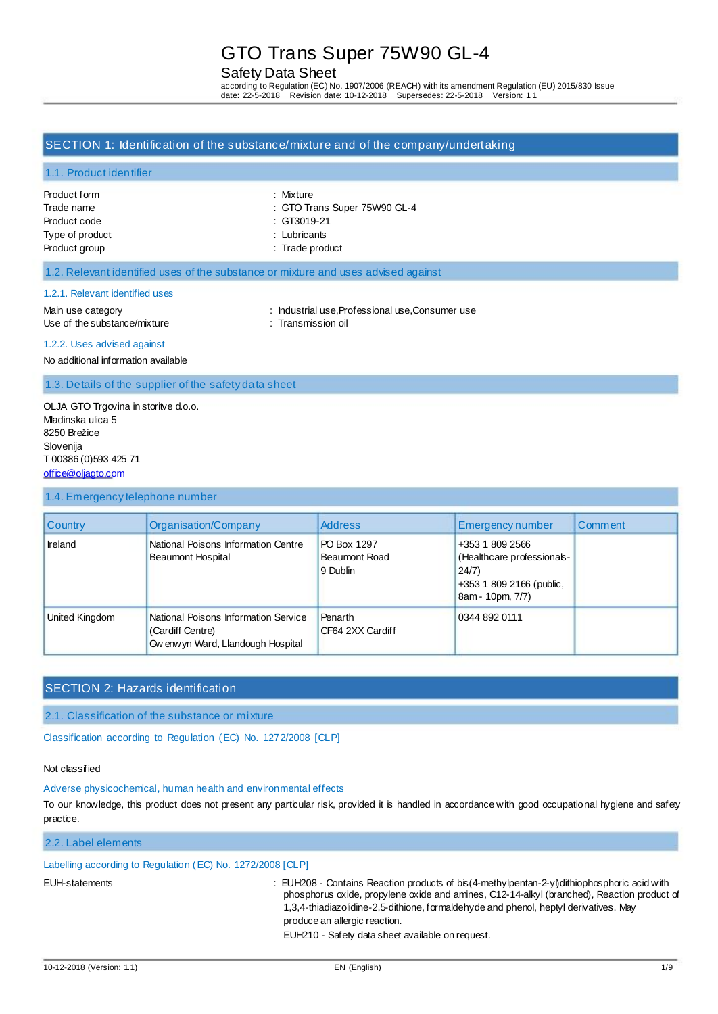# Safety Data Sheet

according to Regulation (EC) No. 1907/2006 (REACH) with its amendment Regulation (EU) 2015/830 Issue date: 22-5-2018 Revision date: 10-12-2018 Supersedes: 22-5-2018 Version: 1.1

### SECTION 1: Identification of the substance/mixture and of the company/undertaking

### 1.1. Product identifier

| Product form    |  |
|-----------------|--|
| Trade name      |  |
| Product code    |  |
| Type of product |  |
| Product group   |  |

: Mixture : GTO Trans Super 75W90 GL-4  $: GT3019-21$ 

: Lubricants

: Trade product

### 1.2. Relevant identified uses of the substance or mixture and uses advised against

#### 1.2.1. Relevant identified uses

Main use category **industrial use, Professional use, Consumer use** : Industrial use, Professional use, Consumer use Use of the substance/mixture : Transmission oil

#### 1.2.2. Uses advised against

No additional information available

1.3. Details of the supplier of the safety data sheet

OLJA GTO Trgovina in storitve d.o.o. Mladinska ulica 5 8250 Brežice Slovenija T 00386 (0)593 425 71 [office@oljagto.com](mailto:office@oljagto.com)

#### 1.4. Emergency telephone number

| <b>Country</b> | Organisation/Company                                                                           | <b>Address</b>                                  | <b>Emergency number</b>                                                                               | Comment |
|----------------|------------------------------------------------------------------------------------------------|-------------------------------------------------|-------------------------------------------------------------------------------------------------------|---------|
| Ireland        | National Poisons Information Centre<br><b>Beaumont Hospital</b>                                | PO Box 1297<br><b>Beaumont Road</b><br>9 Dublin | +353 1 809 2566<br>(Healthcare professionals-<br>24/7<br>+353 1 809 2166 (public,<br>8am - 10pm, 7/7) |         |
| United Kingdom | National Poisons Information Service<br>(Cardiff Centre)<br>Gw enw yn Ward, Llandough Hospital | <b>Penarth</b><br>CF64 2XX Cardiff              | 0344 892 0111                                                                                         |         |

# SECTION 2: Hazards identification

2.1. Classification of the substance or mixture

Classification according to Regulation (EC) No. 1272/2008 [CLP]

### Not classified

### Adverse physicochemical, human health and environmental effects

To our knowledge, this product does not present any particular risk, provided it is handled in accordance with good occupational hygiene and safety practice.

# 2.2. Label elements

## Labelling according to Regulation (EC) No. 1272/2008 [CLP]

EUH-statements : EUH208 - Contains Reaction products of bis(4-methylpentan-2-yl)dithiophosphoric acid with phosphorus oxide, propylene oxide and amines, C12-14-alkyl (branched), Reaction product of 1,3,4-thiadiazolidine-2,5-dithione, formaldehyde and phenol, heptyl derivatives. May produce an allergic reaction.

EUH210 - Safety data sheet available on request.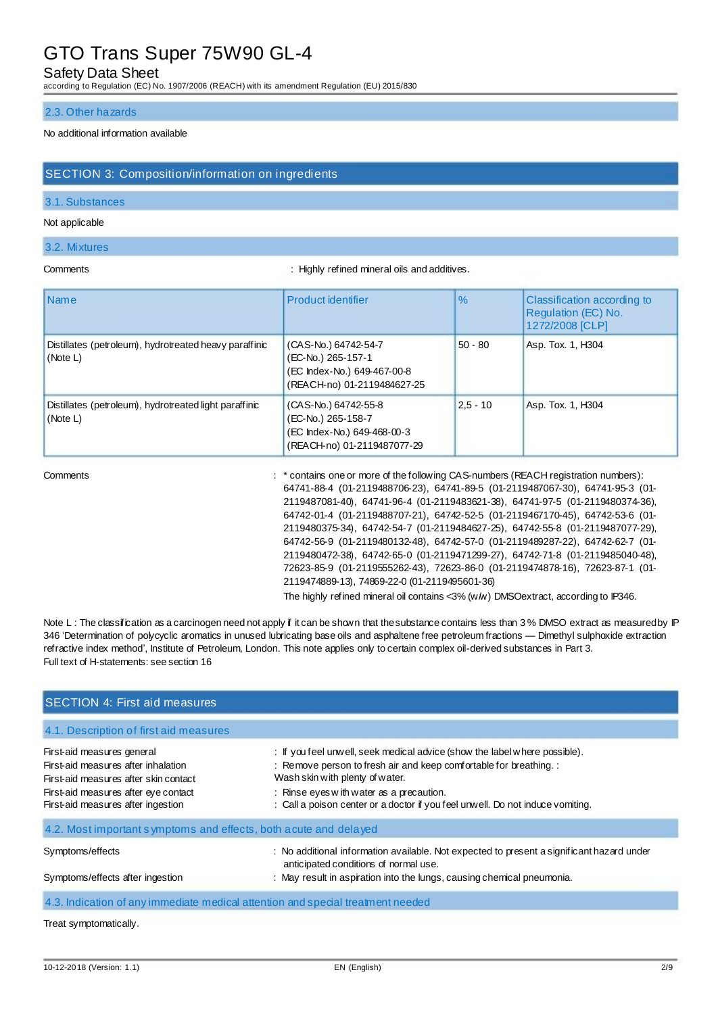## Safety Data Sheet

according to Regulation (EC) No. 1907/2006 (REACH) with its amendment Regulation (EU) 2015/830

#### 2.3. Other hazards

### No additional information available

### SECTION 3: Composition/information on ingredients

### 3.1. Substances

#### Not applicable

#### 3.2. Mixtures

Comments : Highly refined mineral oils and additives.

| <i>Name</i>                                                        | Product identifier                                                                                       | $\%$       | Classification according to<br>Regulation (EC) No.<br>1272/2008 [CLP] |
|--------------------------------------------------------------------|----------------------------------------------------------------------------------------------------------|------------|-----------------------------------------------------------------------|
| Distillates (petroleum), hydrotreated heavy paraffinic<br>(Note L) | (CAS-No.) 64742-54-7<br>(EC-No.) 265-157-1<br>(EC Index-No.) 649-467-00-8<br>(REACH-no) 01-2119484627-25 | $50 - 80$  | Asp. Tox. 1, H304                                                     |
| Distillates (petroleum), hydrotreated light paraffinic<br>(Note L) | (CAS-No.) 64742-55-8<br>(EC-No.) 265-158-7<br>(EC Index-No.) 649-468-00-3<br>(REACH-no) 01-2119487077-29 | $2,5 - 10$ | Asp. Tox. 1, H304                                                     |

Comments : \* contains one or more of the following CAS-numbers (REACH registration numbers): 64741-88-4 (01-2119488706-23), 64741-89-5 (01-2119487067-30), 64741-95-3 (01- 2119487081-40), 64741-96-4 (01-2119483621-38), 64741-97-5 (01-2119480374-36), 64742-01-4 (01-2119488707-21), 64742-52-5 (01-2119467170-45), 64742-53-6 (01- 2119480375-34), 64742-54-7 (01-2119484627-25), 64742-55-8 (01-2119487077-29), 64742-56-9 (01-2119480132-48), 64742-57-0 (01-2119489287-22), 64742-62-7 (01- 2119480472-38), 64742-65-0 (01-2119471299-27), 64742-71-8 (01-2119485040-48), 72623-85-9 (01-2119555262-43), 72623-86-0 (01-2119474878-16), 72623-87-1 (01- 2119474889-13), 74869-22-0 (01-2119495601-36)

The highly refined mineral oil contains <3% (w/w) DMSOextract, according to IP346.

Note L: The classification as a carcinogen need not apply if it can be shown that the substance contains less than 3% DMSO extract as measured by IP 346 'Determination of polycyclic aromatics in unused lubricating base oils and asphaltene free petroleum fractions — Dimethyl sulphoxide extraction refractive index method', Institute of Petroleum, London. This note applies only to certain complex oil-derived substances in Part 3. Full text of H-statements: see section 16

| <b>SECTION 4: First aid measures</b>                                                                                                                                                     |                                                                                                                                                                                                                                                                                                                   |
|------------------------------------------------------------------------------------------------------------------------------------------------------------------------------------------|-------------------------------------------------------------------------------------------------------------------------------------------------------------------------------------------------------------------------------------------------------------------------------------------------------------------|
| 4.1. Description of first aid measures                                                                                                                                                   |                                                                                                                                                                                                                                                                                                                   |
| First-aid measures general<br>First-aid measures after inhalation<br>First-aid measures after skin contact<br>First-aid measures after eye contact<br>First-aid measures after ingestion | : If you feel unwell, seek medical advice (show the label where possible).<br>: Remove person to fresh air and keep comfortable for breathing. :<br>Wash skin with plenty of water.<br>: Rinse eyes with water as a precaution.<br>: Call a poison center or a doctor if you feel unwell. Do not induce vomiting. |
| 4.2. Most important symptoms and effects, both acute and delayed                                                                                                                         |                                                                                                                                                                                                                                                                                                                   |
| Symptoms/effects<br>Symptoms/effects after ingestion                                                                                                                                     | : No additional information available. Not expected to present a significant hazard under<br>anticipated conditions of normal use.<br>: May result in aspiration into the lungs, causing chemical pneumonia.                                                                                                      |
| 4.3. Indication of any immediate medical attention and special treatment needed                                                                                                          |                                                                                                                                                                                                                                                                                                                   |
| Treat symptomatically.                                                                                                                                                                   |                                                                                                                                                                                                                                                                                                                   |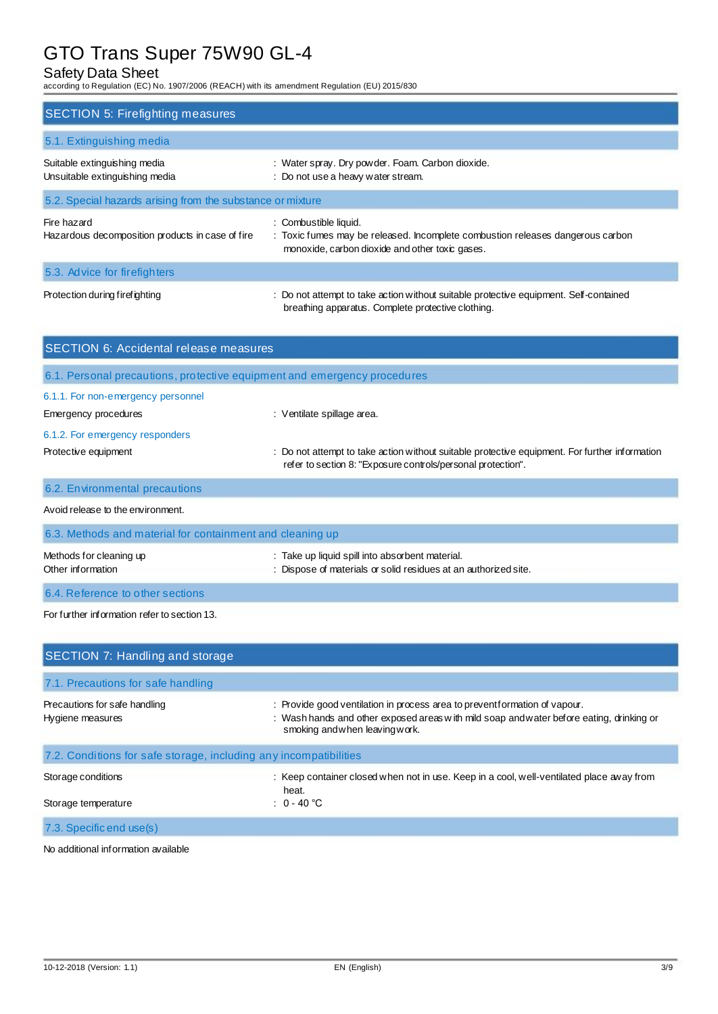# Safety Data Sheet

according to Regulation (EC) No. 1907/2006 (REACH) with its amendment Regulation (EU) 2015/830

| <b>SECTION 5: Firefighting measures</b>                         |                                                                                                                                                            |  |  |  |
|-----------------------------------------------------------------|------------------------------------------------------------------------------------------------------------------------------------------------------------|--|--|--|
| 5.1. Extinguishing media                                        |                                                                                                                                                            |  |  |  |
| Suitable extinguishing media<br>Unsuitable extinguishing media  | : Water spray. Dry powder. Foam. Carbon dioxide.<br>: Do not use a heavy water stream.                                                                     |  |  |  |
| 5.2. Special hazards arising from the substance or mixture      |                                                                                                                                                            |  |  |  |
| Fire hazard<br>Hazardous decomposition products in case of fire | : Combustible liquid.<br>: Toxic fumes may be released. Incomplete combustion releases dangerous carbon<br>monoxide, carbon dioxide and other toxic gases. |  |  |  |
| 5.3. Advice for firefighters                                    |                                                                                                                                                            |  |  |  |
| Protection during firefighting                                  | : Do not attempt to take action without suitable protective equipment. Self-contained<br>breathing apparatus. Complete protective clothing.                |  |  |  |

| <b>SECTION 6: Accidental release measures</b>                            |                                                                                                                                                                |  |  |  |
|--------------------------------------------------------------------------|----------------------------------------------------------------------------------------------------------------------------------------------------------------|--|--|--|
| 6.1. Personal precautions, protective equipment and emergency procedures |                                                                                                                                                                |  |  |  |
| 6.1.1. For non-emergency personnel                                       |                                                                                                                                                                |  |  |  |
| Emergency procedures                                                     | : Ventilate spillage area.                                                                                                                                     |  |  |  |
| 6.1.2. For emergency responders                                          |                                                                                                                                                                |  |  |  |
| Protective equipment                                                     | : Do not attempt to take action without suitable protective equipment. For further information<br>refer to section 8: "Exposure controls/personal protection". |  |  |  |
| 6.2. Environmental precautions                                           |                                                                                                                                                                |  |  |  |
| Avoid release to the environment.                                        |                                                                                                                                                                |  |  |  |

| 6.3. Methods and material for containment and cleaning up |                                                                                                                    |  |
|-----------------------------------------------------------|--------------------------------------------------------------------------------------------------------------------|--|
| Methods for cleaning up<br>Other information              | : Take up liquid spill into absorbent material.<br>: Dispose of materials or solid residues at an authorized site. |  |
| 6.4. Reference to other sections                          |                                                                                                                    |  |

For further information refer to section 13.

| SECTION 7: Handling and storage                                   |                                                                                                                                                                                                         |
|-------------------------------------------------------------------|---------------------------------------------------------------------------------------------------------------------------------------------------------------------------------------------------------|
| 7.1. Precautions for safe handling                                |                                                                                                                                                                                                         |
| Precautions for safe handling<br>Hygiene measures                 | : Provide good ventilation in process area to preventformation of vapour.<br>: Wash hands and other exposed areas with mild soap and water before eating, drinking or<br>smoking and when leaving work. |
| 7.2. Conditions for safe storage, including any incompatibilities |                                                                                                                                                                                                         |
| Storage conditions<br>Storage temperature                         | : Keep container closed when not in use. Keep in a cool, well-ventilated place away from<br>heat.<br>: $0 - 40$ °C                                                                                      |
| 7.3. Specific end use(s)                                          |                                                                                                                                                                                                         |

No additional information available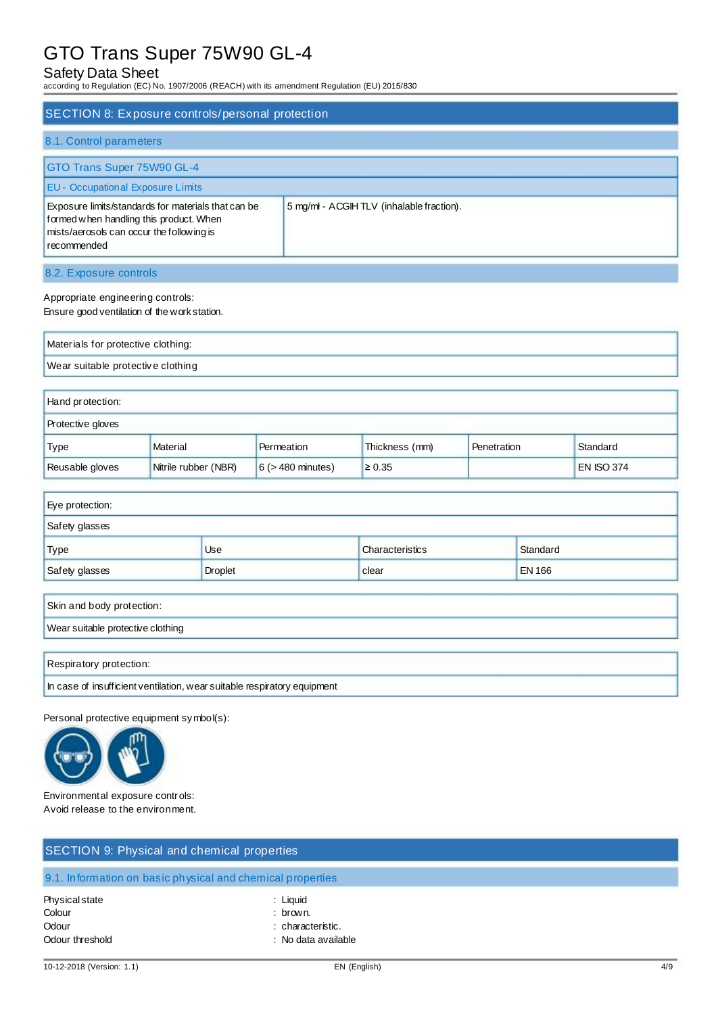# Safety Data Sheet

according to Regulation (EC) No. 1907/2006 (REACH) with its amendment Regulation (EU) 2015/830

| SECTION 8: Exposure controls/personal protection                                                                                                                                                        |                      |                        |                |             |                   |
|---------------------------------------------------------------------------------------------------------------------------------------------------------------------------------------------------------|----------------------|------------------------|----------------|-------------|-------------------|
| 8.1. Control parameters                                                                                                                                                                                 |                      |                        |                |             |                   |
| GTO Trans Super 75W90 GL-4                                                                                                                                                                              |                      |                        |                |             |                   |
| <b>EU - Occupational Exposure Limits</b>                                                                                                                                                                |                      |                        |                |             |                   |
| 5 mg/ml - ACGIH TLV (inhalable fraction).<br>Exposure limits/standards for materials that can be<br>formed when handling this product. When<br>mists/aerosols can occur the following is<br>recommended |                      |                        |                |             |                   |
| 8.2. Exposure controls                                                                                                                                                                                  |                      |                        |                |             |                   |
| Appropriate engineering controls:<br>Ensure good ventilation of the work station.                                                                                                                       |                      |                        |                |             |                   |
| Materials for protective clothing:                                                                                                                                                                      |                      |                        |                |             |                   |
| Wear suitable protective clothing                                                                                                                                                                       |                      |                        |                |             |                   |
| Hand protection:                                                                                                                                                                                        |                      |                        |                |             |                   |
| Protective gloves                                                                                                                                                                                       |                      |                        |                |             |                   |
| Type                                                                                                                                                                                                    | <b>Material</b>      | Permeation             | Thickness (mm) | Penetration | Standard          |
| Reusable gloves                                                                                                                                                                                         | Nitrile rubber (NBR) | $6$ ( $>$ 480 minutes) | $\geq 0.35$    |             | <b>EN ISO 374</b> |

| <b>Use</b> | Characteristics | Standard      |
|------------|-----------------|---------------|
| Droplet    | clear           | <b>EN 166</b> |
|            |                 |               |

| Skin and body protection:                                                |
|--------------------------------------------------------------------------|
| Wear suitable protective clothing                                        |
|                                                                          |
| Respiratory protection:                                                  |
| In case of insufficient ventilation, wear suitable respiratory equipment |

Personal protective equipment symbol(s):



Environmental exposure controls: Avoid release to the environment.

| SECTION 9: Physical and chemical properties                 |                                                                  |  |
|-------------------------------------------------------------|------------------------------------------------------------------|--|
| 9.1. Information on basic physical and chemical properties  |                                                                  |  |
| <b>Physical state</b><br>Colour<br>Odour<br>Odour threshold | : Liquid<br>: brown.<br>: characteristic.<br>: No data available |  |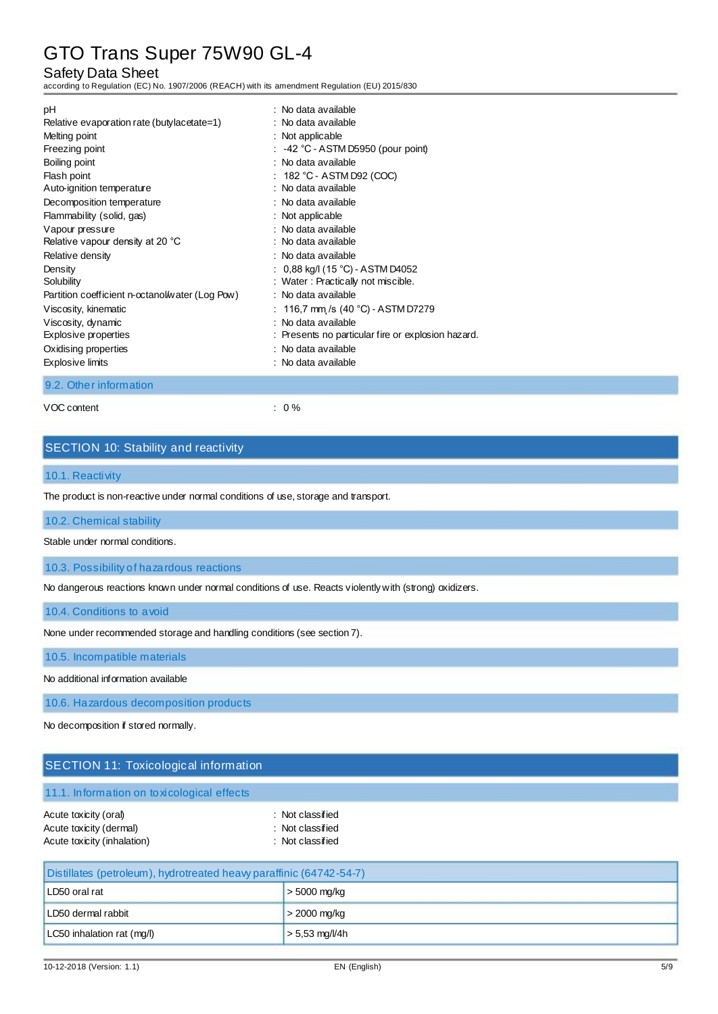# Safety Data Sheet

according to Regulation (EC) No. 1907/2006 (REACH) with its amendment Regulation (EU) 2015/830

| рH                                              | : No data available                                |
|-------------------------------------------------|----------------------------------------------------|
| Relative evaporation rate (butylacetate=1)      | : No data available                                |
| Melting point                                   | : Not applicable                                   |
| Freezing point                                  | $\therefore$ -42 °C - ASTM D5950 (pour point)      |
| Boiling point                                   | : No data available                                |
| Flash point                                     | : $182 \degree C$ - ASTM D92 (COC)                 |
| Auto-ignition temperature                       | : No data available                                |
| Decomposition temperature                       | : No data available                                |
| Flammability (solid, gas)                       | : Not applicable                                   |
| Vapour pressure                                 | : No data available                                |
| Relative vapour density at 20 °C                | : No data available                                |
| Relative density                                | : No data available                                |
| Density                                         | : $0.88$ kg/l (15 °C) - ASTM D4052                 |
| Solubility                                      | : Water: Practically not miscible.                 |
| Partition coefficient n-octanol/water (Log Pow) | : No data available                                |
| Viscosity, kinematic                            | : 116,7 mm /s (40 °C) - ASTM D7279                 |
| Viscosity, dynamic                              | : No data available                                |
| Explosive properties                            | : Presents no particular fire or explosion hazard. |
| Oxidising properties                            | : No data available                                |
| Explosive limits                                | : No data available                                |

9.2. Other information

VOC content : 0 %

# SECTION 10: Stability and reactivity

#### 10.1. Reactivity

The product is non-reactive under normal conditions of use, storage and transport.

### 10.2. Chemical stability

Stable under normal conditions.

10.3. Possibility of hazardous reactions

No dangerous reactions known under normal conditions of use. Reacts violently with (strong) oxidizers.

10.4. Conditions to avoid

None under recommended storage and handling conditions (see section 7).

10.5. Incompatible materials

No additional information available

10.6. Hazardous decomposition products

No decomposition if stored normally.

# SECTION 11: Toxicological information

11.1. Information on toxicological effects

| Acute toxicity (oral)       | : Not classified |
|-----------------------------|------------------|
| Acute toxicity (dermal)     | : Not classified |
| Acute toxicity (inhalation) | : Not classified |

| Distillates (petroleum), hydrotreated heavy paraffinic (64742-54-7) |                  |  |  |
|---------------------------------------------------------------------|------------------|--|--|
| LD50 oral rat<br>$>$ 5000 mg/kg                                     |                  |  |  |
| LD50 dermal rabbit                                                  | $>$ 2000 mg/kg   |  |  |
| LC50 inhalation rat (mg/l)                                          | $> 5.53$ mg/l/4h |  |  |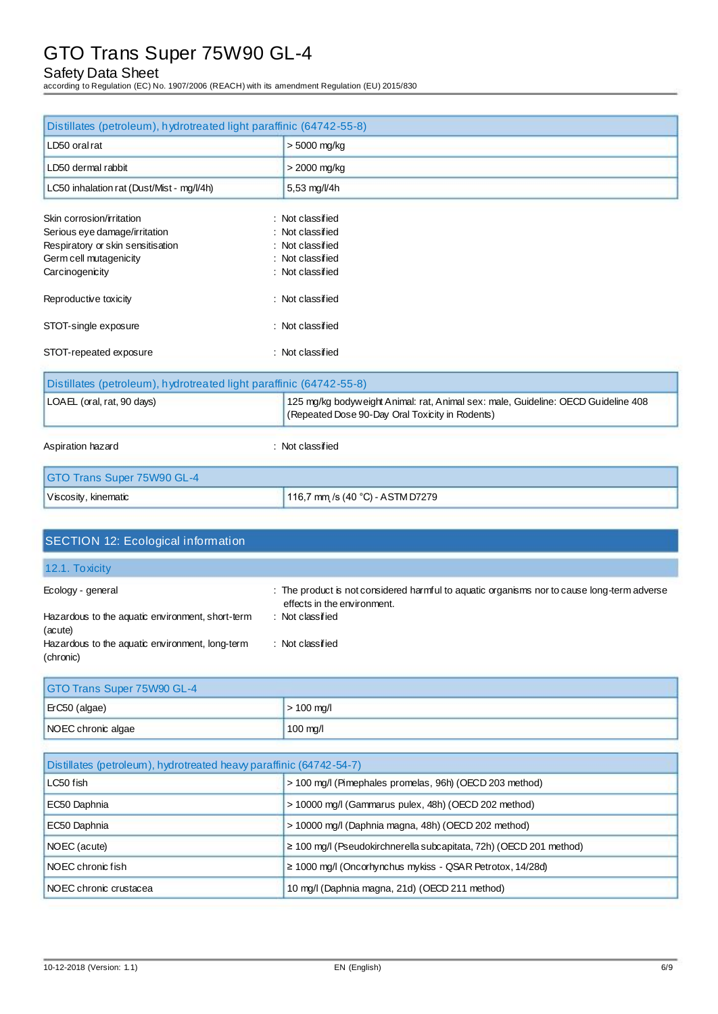# Safety Data Sheet

according to Regulation (EC) No. 1907/2006 (REACH) with its amendment Regulation (EU) 2015/830

| Distillates (petroleum), hydrotreated light paraffinic (64742-55-8) |                                                                                                                                      |  |  |
|---------------------------------------------------------------------|--------------------------------------------------------------------------------------------------------------------------------------|--|--|
| LD50 oral rat                                                       | > 5000 mg/kg                                                                                                                         |  |  |
| LD50 dermal rabbit                                                  | $>$ 2000 mg/kg                                                                                                                       |  |  |
| LC50 inhalation rat (Dust/Mist - mg/l/4h)                           | 5,53 mg/l/4h                                                                                                                         |  |  |
| Skin corrosion/irritation                                           | : Not classified                                                                                                                     |  |  |
| Serious eye damage/irritation                                       | : Not classified                                                                                                                     |  |  |
| Respiratory or skin sensitisation                                   | : Not classified                                                                                                                     |  |  |
| Germ cell mutagenicity                                              | : Not classified                                                                                                                     |  |  |
| Carcinogenicity                                                     | : Not classified                                                                                                                     |  |  |
| Reproductive toxicity                                               | : Not classified                                                                                                                     |  |  |
| STOT-single exposure                                                | : Not classified                                                                                                                     |  |  |
| STOT-repeated exposure                                              | : Not classified                                                                                                                     |  |  |
| Distillates (petroleum), hydrotreated light paraffinic (64742-55-8) |                                                                                                                                      |  |  |
| LOAEL (oral, rat, 90 days)                                          | 125 mg/kg bodyweight Animal: rat, Animal sex: male, Guideline: OECD Guideline 408<br>(Repeated Dose 90-Day Oral Toxicity in Rodents) |  |  |
| Aspiration hazard                                                   | : Not classified                                                                                                                     |  |  |
| GTO Trans Super 75W90 GL-4                                          |                                                                                                                                      |  |  |
| Viscosity, kinematic                                                | 116,7 mm /s (40 °C) - ASTM D7279                                                                                                     |  |  |

| <b>SECTION 12: Ecological information</b>                    |                                                                                                                            |
|--------------------------------------------------------------|----------------------------------------------------------------------------------------------------------------------------|
| 12.1. To xicity                                              |                                                                                                                            |
| Ecology - general                                            | : The product is not considered harmful to aquatic organisms nor to cause long-term adverse<br>effects in the environment. |
| Hazardous to the aquatic environment, short-term<br>(acute)  | : Not classified                                                                                                           |
| Hazardous to the aquatic environment, long-term<br>(chronic) | : Not classified                                                                                                           |

| GTO Trans Super 75W90 GL-4      |                    |  |  |
|---------------------------------|--------------------|--|--|
| $ETC50$ (algae)<br>$> 100$ mg/l |                    |  |  |
| NOEC chronic algae              | $100 \text{ mg/l}$ |  |  |

| Distillates (petroleum), hydrotreated heavy paraffinic (64742-54-7)  |                                                                         |  |  |
|----------------------------------------------------------------------|-------------------------------------------------------------------------|--|--|
| > 100 mg/l (Pimephales promelas, 96h) (OECD 203 method)<br>LC50 fish |                                                                         |  |  |
| EC50 Daphnia                                                         | > 10000 mg/l (Gammarus pulex, 48h) (OECD 202 method)                    |  |  |
| EC50 Daphnia                                                         | > 10000 mg/l (Daphnia magna, 48h) (OECD 202 method)                     |  |  |
| NOEC (acute)                                                         | $\geq$ 100 mg/l (Pseudokirchnerella subcapitata, 72h) (OECD 201 method) |  |  |
| NOEC chronic fish                                                    | $\geq$ 1000 mg/l (Oncorhynchus mykiss - QSAR Petrotox, 14/28d)          |  |  |
| NOEC chronic crustacea                                               | 10 mg/l (Daphnia magna, 21d) (OECD 211 method)                          |  |  |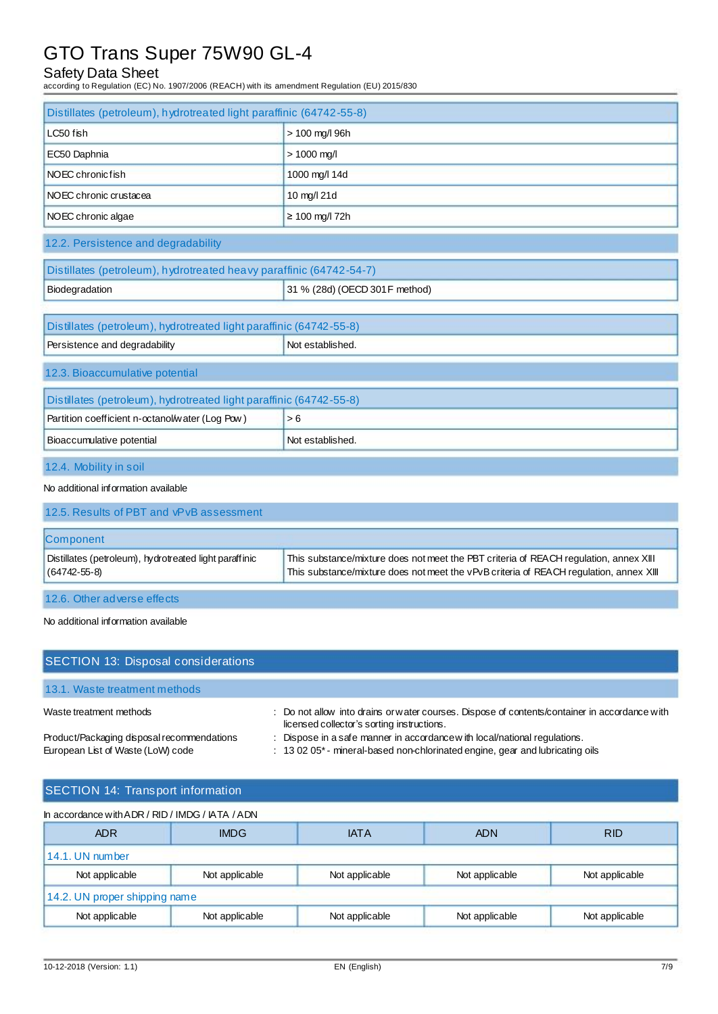# Safety Data Sheet

according to Regulation (EC) No. 1907/2006 (REACH) with its amendment Regulation (EU) 2015/830

| Distillates (petroleum), hydrotreated light paraffinic (64742-55-8) |                                |  |  |  |
|---------------------------------------------------------------------|--------------------------------|--|--|--|
| LC50 fish                                                           |                                |  |  |  |
|                                                                     | > 100 mg/l 96h                 |  |  |  |
| EC50 Daphnia                                                        | $> 1000$ mg/l                  |  |  |  |
| NOEC chronicfish                                                    | 1000 mg/l 14d                  |  |  |  |
| NOEC chronic crustacea                                              | 10 mg/l 21d                    |  |  |  |
| NOEC chronic algae                                                  | $\geq 100$ mg/l 72h            |  |  |  |
| 12.2. Persistence and degradability                                 |                                |  |  |  |
| Distillates (petroleum), hydrotreated heavy paraffinic (64742-54-7) |                                |  |  |  |
| Biodegradation                                                      | 31 % (28d) (OECD 301 F method) |  |  |  |
|                                                                     |                                |  |  |  |
| Distillates (petroleum), hydrotreated light paraffinic (64742-55-8) |                                |  |  |  |
| Not established.<br>Persistence and degradability                   |                                |  |  |  |
| 12.3. Bioaccumulative potential                                     |                                |  |  |  |
| Distillates (petroleum), hydrotreated light paraffinic (64742-55-8) |                                |  |  |  |
| Partition coefficient n-octanol/water (Log Pow)                     | >6                             |  |  |  |
| Bioaccumulative potential                                           | Not established.               |  |  |  |
| 12.4. Mobility in soil                                              |                                |  |  |  |
| No additional information available                                 |                                |  |  |  |
| 12 E. Posulte of DRT and vPvR assessment                            |                                |  |  |  |

| 12.5. Results of PBT and vPvB assessment                                     |                                                                                                                                                                                 |
|------------------------------------------------------------------------------|---------------------------------------------------------------------------------------------------------------------------------------------------------------------------------|
| <b>Component</b>                                                             |                                                                                                                                                                                 |
| Distillates (petroleum), hydrotreated light paraffinic<br>$(64742 - 55 - 8)$ | This substance/mixture does not meet the PBT criteria of REACH regulation, annex XIII<br>This substance/mixture does not meet the vPvB criteria of REACH regulation, annex XIII |

12.6. Other adverse effects

No additional information available

| <b>SECTION 13: Disposal considerations</b>                                      |                                                                                                                                                            |
|---------------------------------------------------------------------------------|------------------------------------------------------------------------------------------------------------------------------------------------------------|
| 13.1. Waste treatment methods                                                   |                                                                                                                                                            |
| Waste treatment methods                                                         | : Do not allow into drains or water courses. Dispose of contents/container in accordance with<br>licensed collector's sorting instructions.                |
| Product/Packaging disposal recommendations<br>European List of Waste (LoW) code | : Dispose in a safe manner in accordance with local/national regulations.<br>: 13 02 05* - mineral-based non-chlorinated engine, gear and lubricating oils |

# SECTION 14: Transport information

| In accordance with ADR / RID / IMDG / IATA / ADN |                |                |                |                |
|--------------------------------------------------|----------------|----------------|----------------|----------------|
| <b>ADR</b>                                       | <b>IMDG</b>    | <b>IATA</b>    | <b>ADN</b>     | <b>RID</b>     |
| 14.1. UN number                                  |                |                |                |                |
| Not applicable                                   | Not applicable | Not applicable | Not applicable | Not applicable |
| 14.2. UN proper shipping name                    |                |                |                |                |
| Not applicable                                   | Not applicable | Not applicable | Not applicable | Not applicable |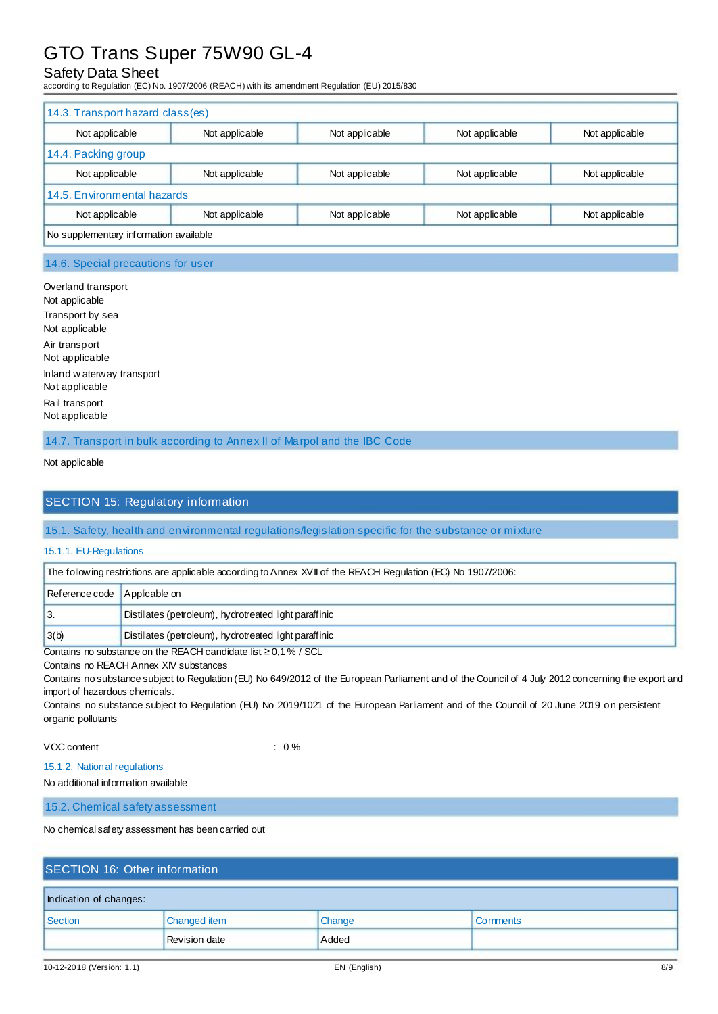# Safety Data Sheet

according to Regulation (EC) No. 1907/2006 (REACH) with its amendment Regulation (EU) 2015/830

| 14.3. Transport hazard class(es)       |                |                |                |                |
|----------------------------------------|----------------|----------------|----------------|----------------|
| Not applicable                         | Not applicable | Not applicable | Not applicable | Not applicable |
| 14.4. Packing group                    |                |                |                |                |
| Not applicable                         | Not applicable | Not applicable | Not applicable | Not applicable |
| 14.5. Environmental hazards            |                |                |                |                |
| Not applicable                         | Not applicable | Not applicable | Not applicable | Not applicable |
| No supplementary information available |                |                |                |                |

### 14.6. Special precautions for user

Overland transport Not applicable Transport by sea Not applicable Air transport Not applicable Inland w aterway transport Not applicable Rail transport Not applicable

14.7. Transport in bulk according to Annex II of Marpol and the IBC Code

#### Not applicable

### SECTION 15: Regulatory information

#### 15.1. Safety, health and environmental regulations/legislation specific for the substance or mixture

#### 15.1.1. EU-Regulations

| The following restrictions are applicable according to Annex XVII of the REACH Regulation (EC) No 1907/2006: |                                                        |  |
|--------------------------------------------------------------------------------------------------------------|--------------------------------------------------------|--|
| Reference code Applicable on                                                                                 |                                                        |  |
| ΙЗ.                                                                                                          | Distillates (petroleum), hydrotreated light paraffinic |  |
| 3(b)                                                                                                         | Distillates (petroleum), hydrotreated light paraffinic |  |

Contains no substance on the REACH candidate list  $\geq$  0,1 % / SCL

#### Contains no REACH Annex XIV substances

Contains no substance subject to Regulation (EU) No 649/2012 of the European Parliament and of the Council of 4 July 2012 concerning the export and import of hazardous chemicals.

Contains no substance subject to Regulation (EU) No 2019/1021 of the European Parliament and of the Council of 20 June 2019 on persistent organic pollutants

VOC content : 0 %

15.1.2. National regulations

No additional information available

15.2. Chemical safety assessment

No chemical safety assessment has been carried out

# SECTION 16: Other information Indication of changes: Section Changed item Changed item Change Comments

Revision date Added